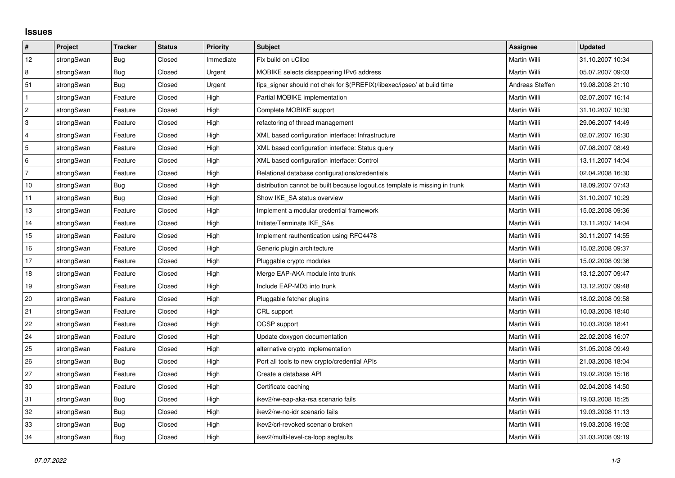## **Issues**

| $\#$                      | Project    | <b>Tracker</b> | <b>Status</b> | Priority  | Subject                                                                     | <b>Assignee</b>     | <b>Updated</b>   |
|---------------------------|------------|----------------|---------------|-----------|-----------------------------------------------------------------------------|---------------------|------------------|
| 12                        | strongSwan | Bug            | Closed        | Immediate | Fix build on uClibc                                                         | Martin Willi        | 31.10.2007 10:34 |
| 8                         | strongSwan | Bug            | Closed        | Urgent    | MOBIKE selects disappearing IPv6 address                                    | Martin Willi        | 05.07.2007 09:03 |
| 51                        | strongSwan | <b>Bug</b>     | Closed        | Urgent    | fips_signer should not chek for \$(PREFIX)/libexec/ipsec/ at build time     | Andreas Steffen     | 19.08.2008 21:10 |
| $\mathbf{1}$              | strongSwan | Feature        | Closed        | High      | Partial MOBIKE implementation                                               | Martin Willi        | 02.07.2007 16:14 |
| $\overline{c}$            | strongSwan | Feature        | Closed        | High      | Complete MOBIKE support                                                     | Martin Willi        | 31.10.2007 10:30 |
| $\ensuremath{\mathsf{3}}$ | strongSwan | Feature        | Closed        | High      | refactoring of thread management                                            | <b>Martin Willi</b> | 29.06.2007 14:49 |
| $\overline{4}$            | strongSwan | Feature        | Closed        | High      | XML based configuration interface: Infrastructure                           | Martin Willi        | 02.07.2007 16:30 |
| $\overline{5}$            | strongSwan | Feature        | Closed        | High      | XML based configuration interface: Status query                             | Martin Willi        | 07.08.2007 08:49 |
| $\,6\,$                   | strongSwan | Feature        | Closed        | High      | XML based configuration interface: Control                                  | Martin Willi        | 13.11.2007 14:04 |
| $\overline{7}$            | strongSwan | Feature        | Closed        | High      | Relational database configurations/credentials                              | Martin Willi        | 02.04.2008 16:30 |
| 10                        | strongSwan | Bug            | Closed        | High      | distribution cannot be built because logout.cs template is missing in trunk | Martin Willi        | 18.09.2007 07:43 |
| 11                        | strongSwan | Bug            | Closed        | High      | Show IKE SA status overview                                                 | Martin Willi        | 31.10.2007 10:29 |
| 13                        | strongSwan | Feature        | Closed        | High      | Implement a modular credential framework                                    | Martin Willi        | 15.02.2008 09:36 |
| 14                        | strongSwan | Feature        | Closed        | High      | Initiate/Terminate IKE SAs                                                  | Martin Willi        | 13.11.2007 14:04 |
| 15                        | strongSwan | Feature        | Closed        | High      | Implement rauthentication using RFC4478                                     | Martin Willi        | 30.11.2007 14:55 |
| $16\,$                    | strongSwan | Feature        | Closed        | High      | Generic plugin architecture                                                 | Martin Willi        | 15.02.2008 09:37 |
| 17                        | strongSwan | Feature        | Closed        | High      | Pluggable crypto modules                                                    | Martin Willi        | 15.02.2008 09:36 |
| 18                        | strongSwan | Feature        | Closed        | High      | Merge EAP-AKA module into trunk                                             | Martin Willi        | 13.12.2007 09:47 |
| 19                        | strongSwan | Feature        | Closed        | High      | Include EAP-MD5 into trunk                                                  | Martin Willi        | 13.12.2007 09:48 |
| 20                        | strongSwan | Feature        | Closed        | High      | Pluggable fetcher plugins                                                   | Martin Willi        | 18.02.2008 09:58 |
| 21                        | strongSwan | Feature        | Closed        | High      | CRL support                                                                 | Martin Willi        | 10.03.2008 18:40 |
| 22                        | strongSwan | Feature        | Closed        | High      | <b>OCSP</b> support                                                         | Martin Willi        | 10.03.2008 18:41 |
| 24                        | strongSwan | Feature        | Closed        | High      | Update doxygen documentation                                                | Martin Willi        | 22.02.2008 16:07 |
| 25                        | strongSwan | Feature        | Closed        | High      | alternative crypto implementation                                           | Martin Willi        | 31.05.2008 09:49 |
| 26                        | strongSwan | Bug            | Closed        | High      | Port all tools to new crypto/credential APIs                                | Martin Willi        | 21.03.2008 18:04 |
| 27                        | strongSwan | Feature        | Closed        | High      | Create a database API                                                       | <b>Martin Willi</b> | 19.02.2008 15:16 |
| 30                        | strongSwan | Feature        | Closed        | High      | Certificate caching                                                         | Martin Willi        | 02.04.2008 14:50 |
| 31                        | strongSwan | Bug            | Closed        | High      | ikev2/rw-eap-aka-rsa scenario fails                                         | Martin Willi        | 19.03.2008 15:25 |
| 32                        | strongSwan | <b>Bug</b>     | Closed        | High      | ikev2/rw-no-idr scenario fails                                              | Martin Willi        | 19.03.2008 11:13 |
| 33                        | strongSwan | Bug            | Closed        | High      | ikev2/crl-revoked scenario broken                                           | Martin Willi        | 19.03.2008 19:02 |
| 34                        | strongSwan | Bug            | Closed        | High      | ikev2/multi-level-ca-loop segfaults                                         | Martin Willi        | 31.03.2008 09:19 |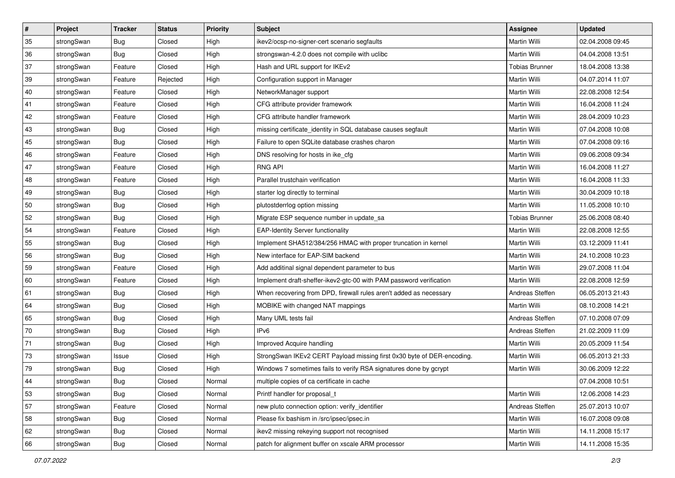| ∦  | Project    | <b>Tracker</b> | <b>Status</b> | <b>Priority</b> | <b>Subject</b>                                                         | <b>Assignee</b>       | <b>Updated</b>   |
|----|------------|----------------|---------------|-----------------|------------------------------------------------------------------------|-----------------------|------------------|
| 35 | strongSwan | <b>Bug</b>     | Closed        | High            | ikev2/ocsp-no-signer-cert scenario segfaults                           | Martin Willi          | 02.04.2008 09:45 |
| 36 | strongSwan | Bug            | Closed        | High            | strongswan-4.2.0 does not compile with uclibe                          | Martin Willi          | 04.04.2008 13:51 |
| 37 | strongSwan | Feature        | Closed        | High            | Hash and URL support for IKEv2                                         | <b>Tobias Brunner</b> | 18.04.2008 13:38 |
| 39 | strongSwan | Feature        | Rejected      | High            | Configuration support in Manager                                       | Martin Willi          | 04.07.2014 11:07 |
| 40 | strongSwan | Feature        | Closed        | High            | NetworkManager support                                                 | Martin Willi          | 22.08.2008 12:54 |
| 41 | strongSwan | Feature        | Closed        | High            | CFG attribute provider framework                                       | Martin Willi          | 16.04.2008 11:24 |
| 42 | strongSwan | Feature        | Closed        | High            | CFG attribute handler framework                                        | Martin Willi          | 28.04.2009 10:23 |
| 43 | strongSwan | Bug            | Closed        | High            | missing certificate_identity in SQL database causes segfault           | Martin Willi          | 07.04.2008 10:08 |
| 45 | strongSwan | Bug            | Closed        | High            | Failure to open SQLite database crashes charon                         | Martin Willi          | 07.04.2008 09:16 |
| 46 | strongSwan | Feature        | Closed        | High            | DNS resolving for hosts in ike_cfg                                     | Martin Willi          | 09.06.2008 09:34 |
| 47 | strongSwan | Feature        | Closed        | High            | <b>RNG API</b>                                                         | Martin Willi          | 16.04.2008 11:27 |
| 48 | strongSwan | Feature        | Closed        | High            | Parallel trustchain verification                                       | Martin Willi          | 16.04.2008 11:33 |
| 49 | strongSwan | Bug            | Closed        | High            | starter log directly to terminal                                       | Martin Willi          | 30.04.2009 10:18 |
| 50 | strongSwan | Bug            | Closed        | High            | plutostderrlog option missing                                          | <b>Martin Willi</b>   | 11.05.2008 10:10 |
| 52 | strongSwan | <b>Bug</b>     | Closed        | High            | Migrate ESP sequence number in update_sa                               | <b>Tobias Brunner</b> | 25.06.2008 08:40 |
| 54 | strongSwan | Feature        | Closed        | High            | <b>EAP-Identity Server functionality</b>                               | Martin Willi          | 22.08.2008 12:55 |
| 55 | strongSwan | <b>Bug</b>     | Closed        | High            | Implement SHA512/384/256 HMAC with proper truncation in kernel         | Martin Willi          | 03.12.2009 11:41 |
| 56 | strongSwan | Bug            | Closed        | High            | New interface for EAP-SIM backend                                      | Martin Willi          | 24.10.2008 10:23 |
| 59 | strongSwan | Feature        | Closed        | High            | Add additinal signal dependent parameter to bus                        | Martin Willi          | 29.07.2008 11:04 |
| 60 | strongSwan | Feature        | Closed        | High            | Implement draft-sheffer-ikev2-gtc-00 with PAM password verification    | Martin Willi          | 22.08.2008 12:59 |
| 61 | strongSwan | Bug            | Closed        | High            | When recovering from DPD, firewall rules aren't added as necessary     | Andreas Steffen       | 06.05.2013 21:43 |
| 64 | strongSwan | Bug            | Closed        | High            | MOBIKE with changed NAT mappings                                       | Martin Willi          | 08.10.2008 14:21 |
| 65 | strongSwan | Bug            | Closed        | High            | Many UML tests fail                                                    | Andreas Steffen       | 07.10.2008 07:09 |
| 70 | strongSwan | <b>Bug</b>     | Closed        | High            | IP <sub>v6</sub>                                                       | Andreas Steffen       | 21.02.2009 11:09 |
| 71 | strongSwan | <b>Bug</b>     | Closed        | High            | Improved Acquire handling                                              | Martin Willi          | 20.05.2009 11:54 |
| 73 | strongSwan | Issue          | Closed        | High            | StrongSwan IKEv2 CERT Payload missing first 0x30 byte of DER-encoding. | Martin Willi          | 06.05.2013 21:33 |
| 79 | strongSwan | Bug            | Closed        | High            | Windows 7 sometimes fails to verify RSA signatures done by gcrypt      | Martin Willi          | 30.06.2009 12:22 |
|    | strongSwan | Bug            | Closed        | Normal          | multiple copies of ca certificate in cache                             |                       | 07.04.2008 10:51 |
| 53 | strongSwan | <b>Bug</b>     | Closed        | Normal          | Printf handler for proposal t                                          | Martin Willi          | 12.06.2008 14:23 |
| 57 | strongSwan | Feature        | Closed        | Normal          | new pluto connection option: verify_identifier                         | Andreas Steffen       | 25.07.2013 10:07 |
| 58 | strongSwan | Bug            | Closed        | Normal          | Please fix bashism in /src/ipsec/ipsec.in                              | Martin Willi          | 16.07.2008 09:08 |
| 62 | strongSwan | Bug            | Closed        | Normal          | ikev2 missing rekeying support not recognised                          | Martin Willi          | 14.11.2008 15:17 |
| 66 | strongSwan | <b>Bug</b>     | Closed        | Normal          | patch for alignment buffer on xscale ARM processor                     | Martin Willi          | 14.11.2008 15:35 |